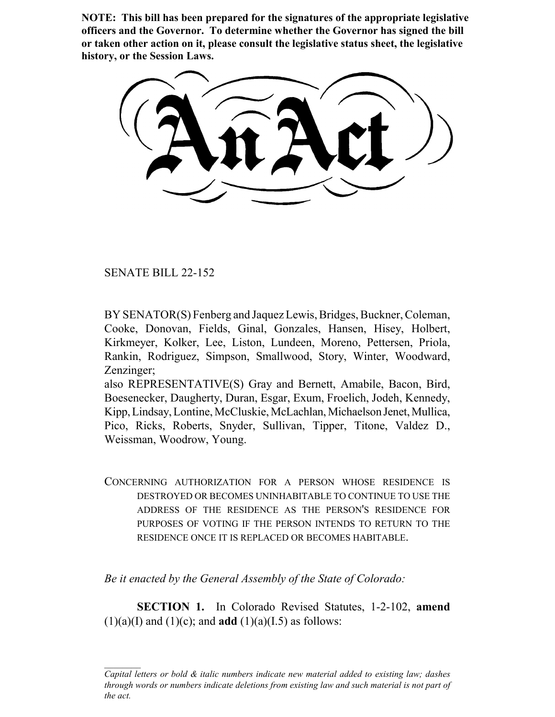**NOTE: This bill has been prepared for the signatures of the appropriate legislative officers and the Governor. To determine whether the Governor has signed the bill or taken other action on it, please consult the legislative status sheet, the legislative history, or the Session Laws.**

SENATE BILL 22-152

BY SENATOR(S) Fenberg and Jaquez Lewis, Bridges, Buckner, Coleman, Cooke, Donovan, Fields, Ginal, Gonzales, Hansen, Hisey, Holbert, Kirkmeyer, Kolker, Lee, Liston, Lundeen, Moreno, Pettersen, Priola, Rankin, Rodriguez, Simpson, Smallwood, Story, Winter, Woodward, Zenzinger;

also REPRESENTATIVE(S) Gray and Bernett, Amabile, Bacon, Bird, Boesenecker, Daugherty, Duran, Esgar, Exum, Froelich, Jodeh, Kennedy, Kipp, Lindsay, Lontine, McCluskie, McLachlan, Michaelson Jenet, Mullica, Pico, Ricks, Roberts, Snyder, Sullivan, Tipper, Titone, Valdez D., Weissman, Woodrow, Young.

CONCERNING AUTHORIZATION FOR A PERSON WHOSE RESIDENCE IS DESTROYED OR BECOMES UNINHABITABLE TO CONTINUE TO USE THE ADDRESS OF THE RESIDENCE AS THE PERSON'S RESIDENCE FOR PURPOSES OF VOTING IF THE PERSON INTENDS TO RETURN TO THE RESIDENCE ONCE IT IS REPLACED OR BECOMES HABITABLE.

*Be it enacted by the General Assembly of the State of Colorado:*

**SECTION 1.** In Colorado Revised Statutes, 1-2-102, **amend**  $(1)(a)(I)$  and  $(1)(c)$ ; and **add**  $(1)(a)(I.5)$  as follows:

*Capital letters or bold & italic numbers indicate new material added to existing law; dashes through words or numbers indicate deletions from existing law and such material is not part of the act.*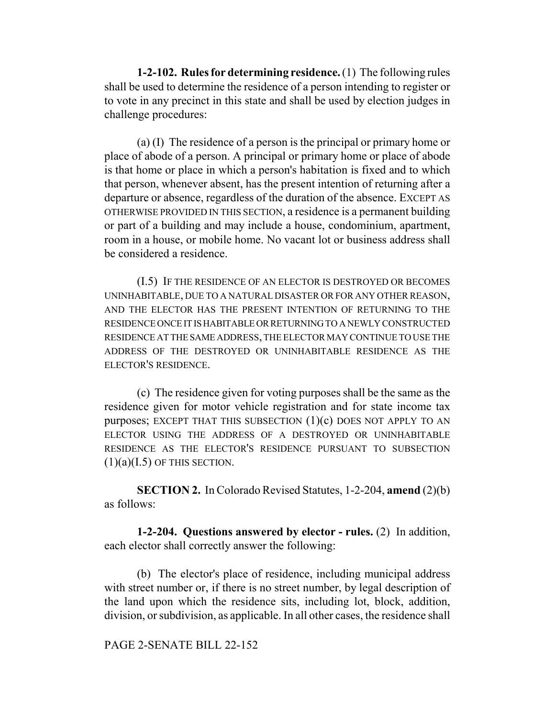**1-2-102. Rules for determining residence.** (1) The following rules shall be used to determine the residence of a person intending to register or to vote in any precinct in this state and shall be used by election judges in challenge procedures:

(a) (I) The residence of a person is the principal or primary home or place of abode of a person. A principal or primary home or place of abode is that home or place in which a person's habitation is fixed and to which that person, whenever absent, has the present intention of returning after a departure or absence, regardless of the duration of the absence. EXCEPT AS OTHERWISE PROVIDED IN THIS SECTION, a residence is a permanent building or part of a building and may include a house, condominium, apartment, room in a house, or mobile home. No vacant lot or business address shall be considered a residence.

(I.5) IF THE RESIDENCE OF AN ELECTOR IS DESTROYED OR BECOMES UNINHABITABLE, DUE TO A NATURAL DISASTER OR FOR ANY OTHER REASON, AND THE ELECTOR HAS THE PRESENT INTENTION OF RETURNING TO THE RESIDENCE ONCE IT IS HABITABLE OR RETURNING TO A NEWLY CONSTRUCTED RESIDENCE AT THE SAME ADDRESS, THE ELECTOR MAY CONTINUE TO USE THE ADDRESS OF THE DESTROYED OR UNINHABITABLE RESIDENCE AS THE ELECTOR'S RESIDENCE.

(c) The residence given for voting purposes shall be the same as the residence given for motor vehicle registration and for state income tax purposes; EXCEPT THAT THIS SUBSECTION  $(1)(c)$  DOES NOT APPLY TO AN ELECTOR USING THE ADDRESS OF A DESTROYED OR UNINHABITABLE RESIDENCE AS THE ELECTOR'S RESIDENCE PURSUANT TO SUBSECTION  $(1)(a)(I.5)$  OF THIS SECTION.

**SECTION 2.** In Colorado Revised Statutes, 1-2-204, **amend** (2)(b) as follows:

**1-2-204. Questions answered by elector - rules.** (2) In addition, each elector shall correctly answer the following:

(b) The elector's place of residence, including municipal address with street number or, if there is no street number, by legal description of the land upon which the residence sits, including lot, block, addition, division, or subdivision, as applicable. In all other cases, the residence shall

## PAGE 2-SENATE BILL 22-152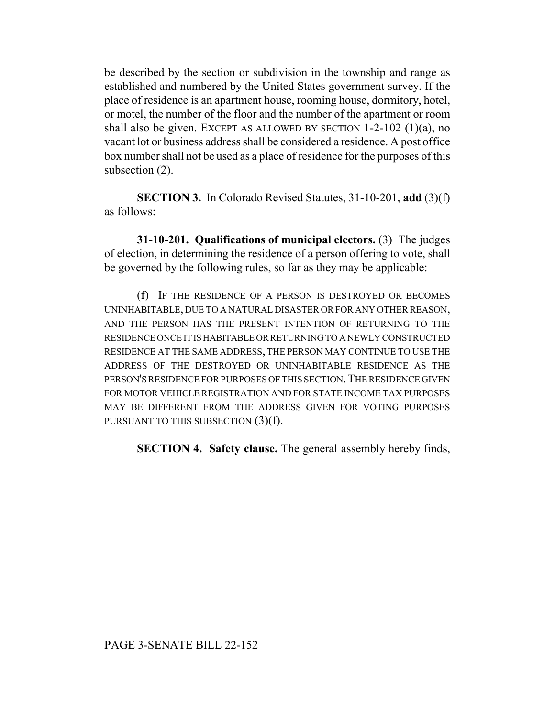be described by the section or subdivision in the township and range as established and numbered by the United States government survey. If the place of residence is an apartment house, rooming house, dormitory, hotel, or motel, the number of the floor and the number of the apartment or room shall also be given. EXCEPT AS ALLOWED BY SECTION 1-2-102 (1)(a), no vacant lot or business address shall be considered a residence. A post office box number shall not be used as a place of residence for the purposes of this subsection (2).

**SECTION 3.** In Colorado Revised Statutes, 31-10-201, **add** (3)(f) as follows:

**31-10-201. Qualifications of municipal electors.** (3) The judges of election, in determining the residence of a person offering to vote, shall be governed by the following rules, so far as they may be applicable:

(f) IF THE RESIDENCE OF A PERSON IS DESTROYED OR BECOMES UNINHABITABLE, DUE TO A NATURAL DISASTER OR FOR ANY OTHER REASON, AND THE PERSON HAS THE PRESENT INTENTION OF RETURNING TO THE RESIDENCE ONCE IT IS HABITABLE OR RETURNING TO A NEWLY CONSTRUCTED RESIDENCE AT THE SAME ADDRESS, THE PERSON MAY CONTINUE TO USE THE ADDRESS OF THE DESTROYED OR UNINHABITABLE RESIDENCE AS THE PERSON'S RESIDENCE FOR PURPOSES OF THIS SECTION.THE RESIDENCE GIVEN FOR MOTOR VEHICLE REGISTRATION AND FOR STATE INCOME TAX PURPOSES MAY BE DIFFERENT FROM THE ADDRESS GIVEN FOR VOTING PURPOSES PURSUANT TO THIS SUBSECTION  $(3)(f)$ .

**SECTION 4. Safety clause.** The general assembly hereby finds,